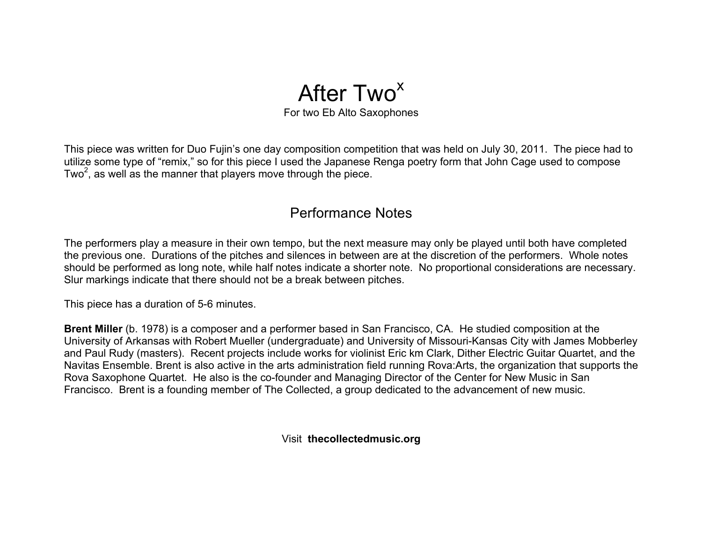## After Two<sup>x</sup> For two Eb Alto Saxophones

This piece was written for Duo Fujin's one day composition competition that was held on July 30, 2011. The piece had to utilize some type of "remix," so for this piece I used the Japanese Renga poetry form that John Cage used to compose Two<sup>2</sup>, as well as the manner that players move through the piece.

## Performance Notes

The performers play a measure in their own tempo, but the next measure may only be played until both have completed the previous one. Durations of the pitches and silences in between are at the discretion of the performers. Whole notes should be performed as long note, while half notes indicate a shorter note. No proportional considerations are necessary. Slur markings indicate that there should not be a break between pitches.

This piece has a duration of 5-6 minutes.

**Brent Miller** (b. 1978) is a composer and a performer based in San Francisco, CA. He studied composition at the University of Arkansas with Robert Mueller (undergraduate) and University of Missouri-Kansas City with James Mobberley and Paul Rudy (masters). Recent projects include works for violinist Eric km Clark, Dither Electric Guitar Quartet, and the Navitas Ensemble. Brent is also active in the arts administration field running Rova:Arts, the organization that supports the Rova Saxophone Quartet. He also is the co-founder and Managing Director of the Center for New Music in San Francisco. Brent is a founding member of The Collected, a group dedicated to the advancement of new music.

Visit **thecollectedmusic.org**